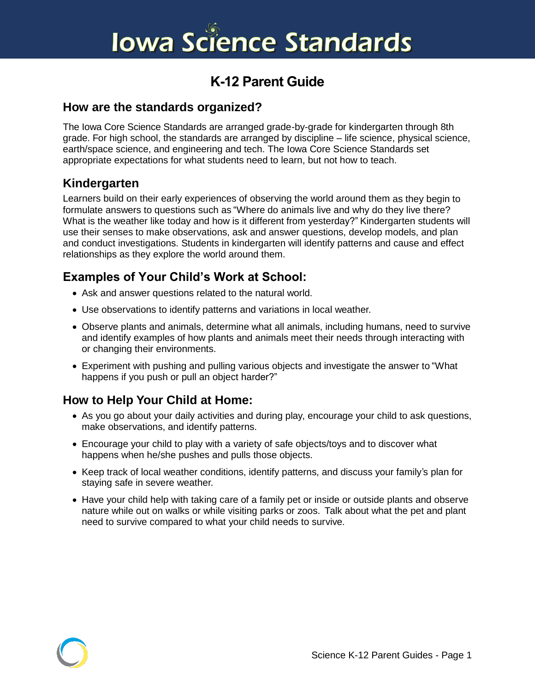# **Iowa Science Standards**

# **K-12 Parent Guide**

#### **How are the standards organized?**

The Iowa Core Science Standards are arranged grade-by-grade for kindergarten through 8th grade. For high school, the standards are arranged by discipline – life science, physical science, earth/space science, and engineering and tech. The Iowa Core Science Standards set appropriate expectations for what students need to learn, but not how to teach.

#### **Kindergarten**

Learners build on their early experiences of observing the world around them as they begin to formulate answers to questions such as "Where do animals live and why do they live there? What is the weather like today and how is it different from yesterday?" Kindergarten students will use their senses to make observations, ask and answer questions, develop models, and plan and conduct investigations. Students in kindergarten will identify patterns and cause and effect relationships as they explore the world around them.

# **Examples of Your Child's Work at School:**

- Ask and answer questions related to the natural world.
- Use observations to identify patterns and variations in local weather.
- Observe plants and animals, determine what all animals, including humans, need to survive and identify examples of how plants and animals meet their needs through interacting with or changing their environments.
- Experiment with pushing and pulling various objects and investigate the answer to "What happens if you push or pull an object harder?"

- As you go about your daily activities and during play, encourage your child to ask questions, make observations, and identify patterns.
- Encourage your child to play with a variety of safe objects/toys and to discover what happens when he/she pushes and pulls those objects.
- Keep track of local weather conditions, identify patterns, and discuss your family's plan for staying safe in severe weather.
- Have your child help with taking care of a family pet or inside or outside plants and observe nature while out on walks or while visiting parks or zoos. Talk about what the pet and plant need to survive compared to what your child needs to survive.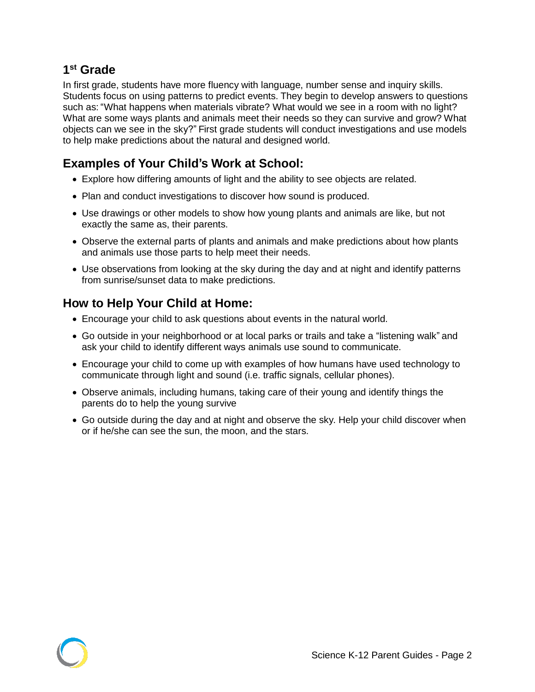#### **1 st Grade**

In first grade, students have more fluency with language, number sense and inquiry skills. Students focus on using patterns to predict events. They begin to develop answers to questions such as: "What happens when materials vibrate? What would we see in a room with no light? What are some ways plants and animals meet their needs so they can survive and grow? What objects can we see in the sky?" First grade students will conduct investigations and use models to help make predictions about the natural and designed world.

# **Examples of Your Child's Work at School:**

- Explore how differing amounts of light and the ability to see objects are related.
- Plan and conduct investigations to discover how sound is produced.
- Use drawings or other models to show how young plants and animals are like, but not exactly the same as, their parents.
- Observe the external parts of plants and animals and make predictions about how plants and animals use those parts to help meet their needs.
- Use observations from looking at the sky during the day and at night and identify patterns from sunrise/sunset data to make predictions.

- Encourage your child to ask questions about events in the natural world.
- Go outside in your neighborhood or at local parks or trails and take a "listening walk" and ask your child to identify different ways animals use sound to communicate.
- Encourage your child to come up with examples of how humans have used technology to communicate through light and sound (i.e. traffic signals, cellular phones).
- Observe animals, including humans, taking care of their young and identify things the parents do to help the young survive
- Go outside during the day and at night and observe the sky. Help your child discover when or if he/she can see the sun, the moon, and the stars.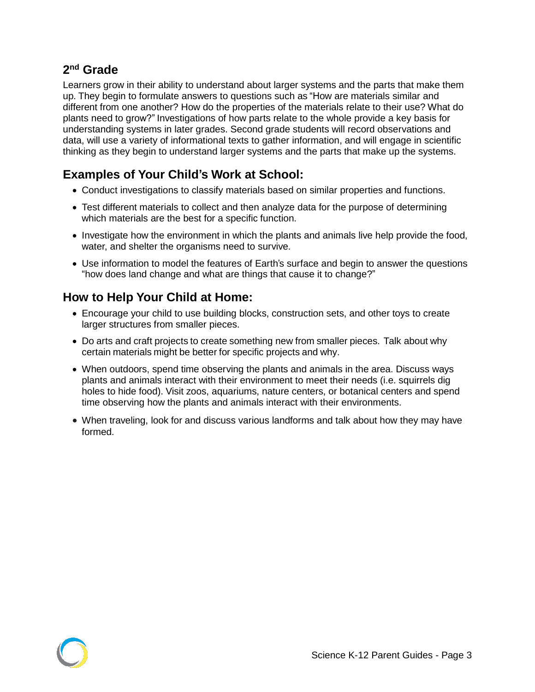#### **2 nd Grade**

Learners grow in their ability to understand about larger systems and the parts that make them up. They begin to formulate answers to questions such as "How are materials similar and different from one another? How do the properties of the materials relate to their use? What do plants need to grow?" Investigations of how parts relate to the whole provide a key basis for understanding systems in later grades. Second grade students will record observations and data, will use a variety of informational texts to gather information, and will engage in scientific thinking as they begin to understand larger systems and the parts that make up the systems.

# **Examples of Your Child's Work at School:**

- Conduct investigations to classify materials based on similar properties and functions.
- Test different materials to collect and then analyze data for the purpose of determining which materials are the best for a specific function.
- Investigate how the environment in which the plants and animals live help provide the food, water, and shelter the organisms need to survive.
- Use information to model the features of Earth's surface and begin to answer the questions "how does land change and what are things that cause it to change?"

- Encourage your child to use building blocks, construction sets, and other toys to create larger structures from smaller pieces.
- Do arts and craft projects to create something new from smaller pieces. Talk about why certain materials might be better for specific projects and why.
- When outdoors, spend time observing the plants and animals in the area. Discuss ways plants and animals interact with their environment to meet their needs (i.e. squirrels dig holes to hide food). Visit zoos, aquariums, nature centers, or botanical centers and spend time observing how the plants and animals interact with their environments.
- When traveling, look for and discuss various landforms and talk about how they may have formed.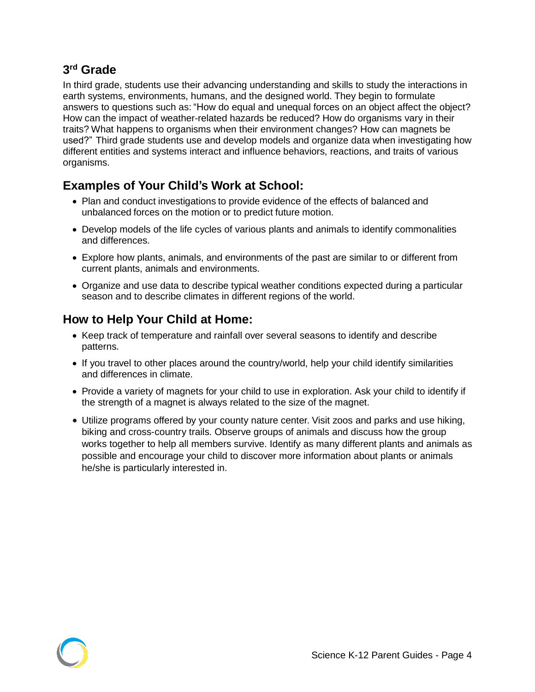#### **3 rd Grade**

In third grade, students use their advancing understanding and skills to study the interactions in earth systems, environments, humans, and the designed world. They begin to formulate answers to questions such as: "How do equal and unequal forces on an object affect the object? How can the impact of weather-related hazards be reduced? How do organisms vary in their traits? What happens to organisms when their environment changes? How can magnets be used?" Third grade students use and develop models and organize data when investigating how different entities and systems interact and influence behaviors, reactions, and traits of various organisms.

# **Examples of Your Child's Work at School:**

- Plan and conduct investigations to provide evidence of the effects of balanced and unbalanced forces on the motion or to predict future motion.
- Develop models of the life cycles of various plants and animals to identify commonalities and differences.
- Explore how plants, animals, and environments of the past are similar to or different from current plants, animals and environments.
- Organize and use data to describe typical weather conditions expected during a particular season and to describe climates in different regions of the world.

- Keep track of temperature and rainfall over several seasons to identify and describe patterns.
- If you travel to other places around the country/world, help your child identify similarities and differences in climate.
- Provide a variety of magnets for your child to use in exploration. Ask your child to identify if the strength of a magnet is always related to the size of the magnet.
- Utilize programs offered by your county nature center. Visit zoos and parks and use hiking, biking and cross-country trails. Observe groups of animals and discuss how the group works together to help all members survive. Identify as many different plants and animals as possible and encourage your child to discover more information about plants or animals he/she is particularly interested in.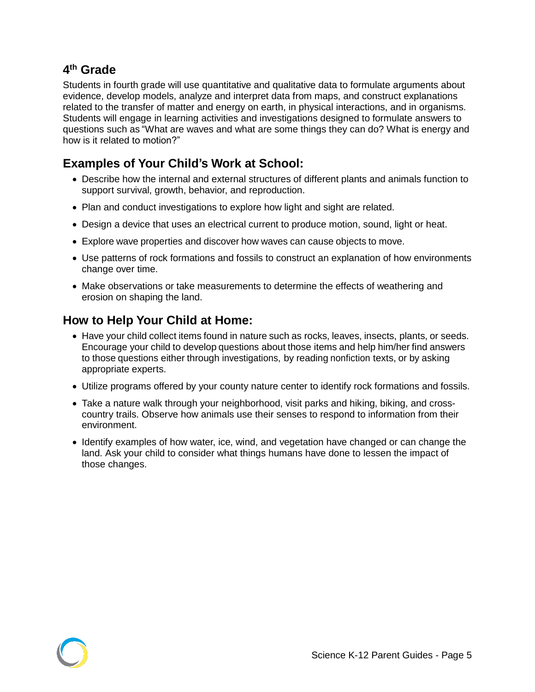Students in fourth grade will use quantitative and qualitative data to formulate arguments about evidence, develop models, analyze and interpret data from maps, and construct explanations related to the transfer of matter and energy on earth, in physical interactions, and in organisms. Students will engage in learning activities and investigations designed to formulate answers to questions such as "What are waves and what are some things they can do? What is energy and how is it related to motion?"

# **Examples of Your Child's Work at School:**

- Describe how the internal and external structures of different plants and animals function to support survival, growth, behavior, and reproduction.
- Plan and conduct investigations to explore how light and sight are related.
- Design a device that uses an electrical current to produce motion, sound, light or heat.
- Explore wave properties and discover how waves can cause objects to move.
- Use patterns of rock formations and fossils to construct an explanation of how environments change over time.
- Make observations or take measurements to determine the effects of weathering and erosion on shaping the land.

- Have your child collect items found in nature such as rocks, leaves, insects, plants, or seeds. Encourage your child to develop questions about those items and help him/her find answers to those questions either through investigations, by reading nonfiction texts, or by asking appropriate experts.
- Utilize programs offered by your county nature center to identify rock formations and fossils.
- Take a nature walk through your neighborhood, visit parks and hiking, biking, and crosscountry trails. Observe how animals use their senses to respond to information from their environment.
- Identify examples of how water, ice, wind, and vegetation have changed or can change the land. Ask your child to consider what things humans have done to lessen the impact of those changes.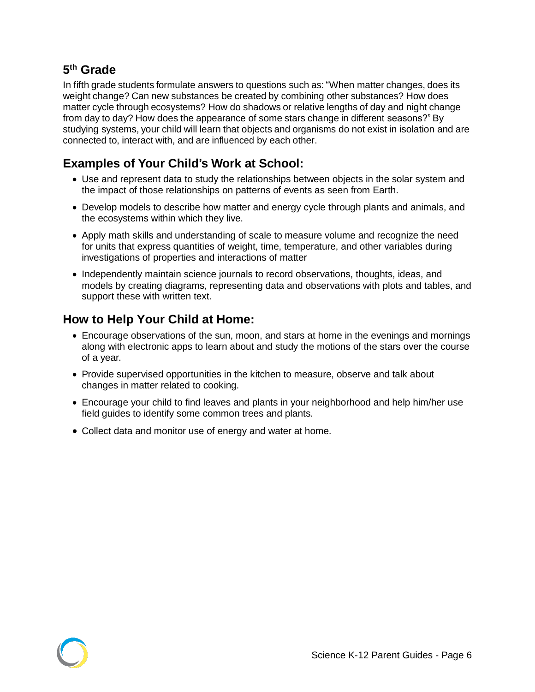In fifth grade students formulate answers to questions such as: "When matter changes, does its weight change? Can new substances be created by combining other substances? How does matter cycle through ecosystems? How do shadows or relative lengths of day and night change from day to day? How does the appearance of some stars change in different seasons?" By studying systems, your child will learn that objects and organisms do not exist in isolation and are connected to, interact with, and are influenced by each other.

# **Examples of Your Child's Work at School:**

- Use and represent data to study the relationships between objects in the solar system and the impact of those relationships on patterns of events as seen from Earth.
- Develop models to describe how matter and energy cycle through plants and animals, and the ecosystems within which they live.
- Apply math skills and understanding of scale to measure volume and recognize the need for units that express quantities of weight, time, temperature, and other variables during investigations of properties and interactions of matter
- Independently maintain science journals to record observations, thoughts, ideas, and models by creating diagrams, representing data and observations with plots and tables, and support these with written text.

- Encourage observations of the sun, moon, and stars at home in the evenings and mornings along with electronic apps to learn about and study the motions of the stars over the course of a year.
- Provide supervised opportunities in the kitchen to measure, observe and talk about changes in matter related to cooking.
- Encourage your child to find leaves and plants in your neighborhood and help him/her use field guides to identify some common trees and plants.
- Collect data and monitor use of energy and water at home.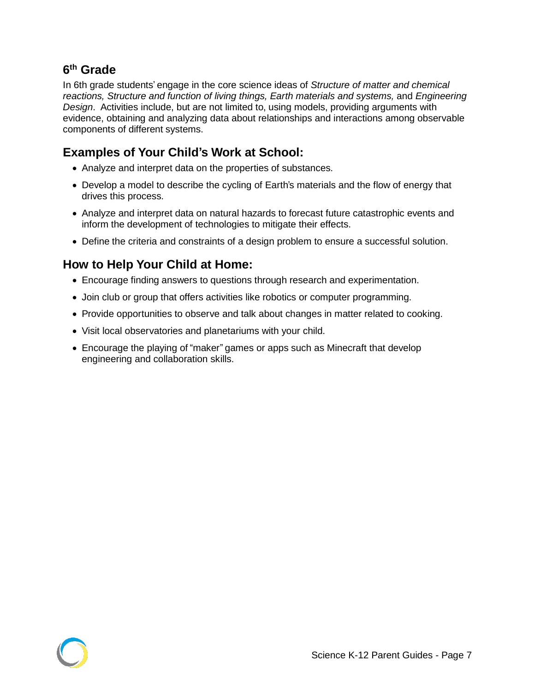In 6th grade students' engage in the core science ideas of *Structure of matter and chemical reactions, Structure and function of living things, Earth materials and systems,* and *Engineering Design*. Activities include, but are not limited to, using models, providing arguments with evidence, obtaining and analyzing data about relationships and interactions among observable components of different systems.

# **Examples of Your Child's Work at School:**

- Analyze and interpret data on the properties of substances.
- Develop a model to describe the cycling of Earth's materials and the flow of energy that drives this process.
- Analyze and interpret data on natural hazards to forecast future catastrophic events and inform the development of technologies to mitigate their effects.
- Define the criteria and constraints of a design problem to ensure a successful solution.

- Encourage finding answers to questions through research and experimentation.
- Join club or group that offers activities like robotics or computer programming.
- Provide opportunities to observe and talk about changes in matter related to cooking.
- Visit local observatories and planetariums with your child.
- Encourage the playing of "maker" games or apps such as Minecraft that develop engineering and collaboration skills.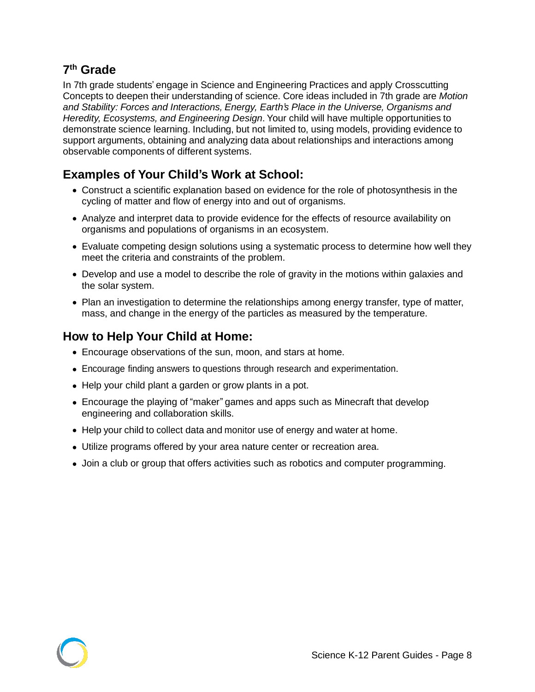In 7th grade students' engage in Science and Engineering Practices and apply Crosscutting Concepts to deepen their understanding of science. Core ideas included in 7th grade are *Motion and Stability: Forces and Interactions, Energy, Earth's Place in the Universe, Organisms and Heredity, Ecosystems, and Engineering Design*. Your child will have multiple opportunities to demonstrate science learning. Including, but not limited to, using models, providing evidence to support arguments, obtaining and analyzing data about relationships and interactions among observable components of different systems.

#### **Examples of Your Child's Work at School:**

- Construct a scientific explanation based on evidence for the role of photosynthesis in the cycling of matter and flow of energy into and out of organisms.
- Analyze and interpret data to provide evidence for the effects of resource availability on organisms and populations of organisms in an ecosystem.
- Evaluate competing design solutions using a systematic process to determine how well they meet the criteria and constraints of the problem.
- Develop and use a model to describe the role of gravity in the motions within galaxies and the solar system.
- Plan an investigation to determine the relationships among energy transfer, type of matter, mass, and change in the energy of the particles as measured by the temperature.

- Encourage observations of the sun, moon, and stars at home.
- Encourage finding answers to questions through research and experimentation.
- Help your child plant a garden or grow plants in a pot.
- Encourage the playing of "maker" games and apps such as Minecraft that develop engineering and collaboration skills.
- Help your child to collect data and monitor use of energy and water at home.
- Utilize programs offered by your area nature center or recreation area.
- Join a club or group that offers activities such as robotics and computer programming.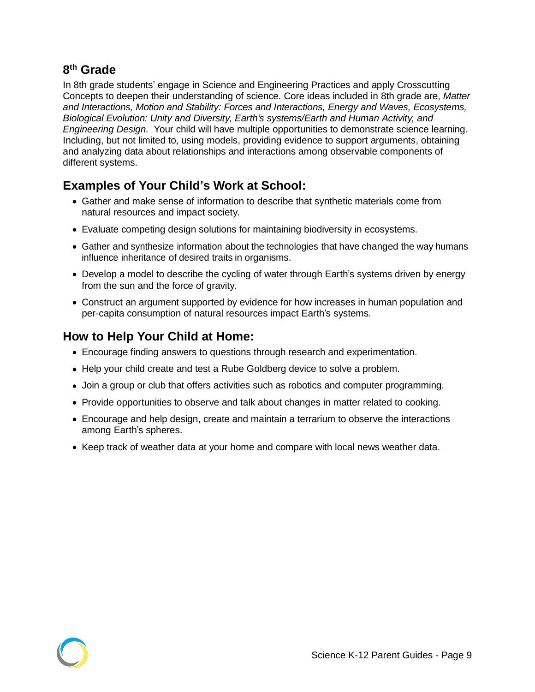In 8th grade students' engage in Science and Engineering Practices and apply Crosscutting Concepts to deepen their understanding of science. Core ideas included in 8th grade are, *Matter and Interactions, Motion and Stability: Forces and Interactions, Energy and Waves, Ecosystems, Biological Evolution: Unity and Diversity, Earth's systems/Earth and Human Activity, and Engineering Design*. Your child will have multiple opportunities to demonstrate science learning. Including, but not limited to, using models, providing evidence to support arguments, obtaining and analyzing data about relationships and interactions among observable components of different systems.

#### **Examples of Your Child's Work at School:**

- Gather and make sense of information to describe that synthetic materials come from natural resources and impact society.
- Evaluate competing design solutions for maintaining biodiversity in ecosystems.
- Gather and synthesize information about the technologies that have changed the way humans influence inheritance of desired traits in organisms.
- Develop a model to describe the cycling of water through Earth's systems driven by energy from the sun and the force of gravity.
- Construct an argument supported by evidence for how increases in human population and per-capita consumption of natural resources impact Earth's systems.

- Encourage finding answers to questions through research and experimentation.
- Help your child create and test a Rube Goldberg device to solve a problem.
- Join a group or club that offers activities such as robotics and computer programming.
- Provide opportunities to observe and talk about changes in matter related to cooking.
- Encourage and help design, create and maintain a terrarium to observe the interactions among Earth's spheres.
- Keep track of weather data at your home and compare with local news weather data.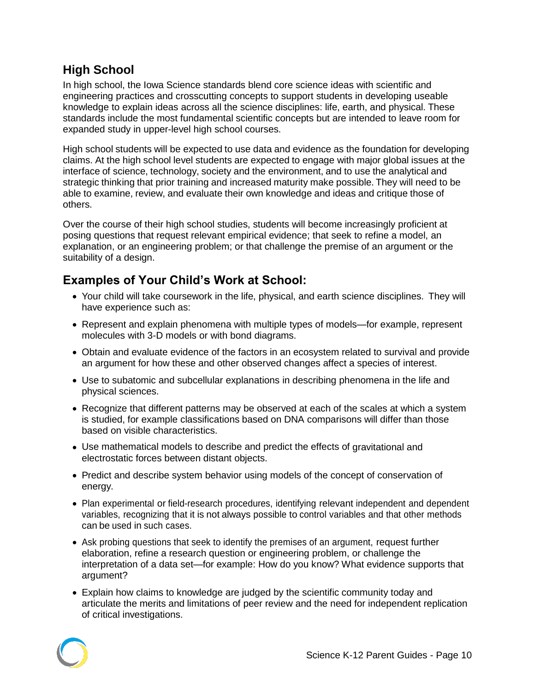#### **High School**

In high school, the Iowa Science standards blend core science ideas with scientific and engineering practices and crosscutting concepts to support students in developing useable knowledge to explain ideas across all the science disciplines: life, earth, and physical. These standards include the most fundamental scientific concepts but are intended to leave room for expanded study in upper-level high school courses.

High school students will be expected to use data and evidence as the foundation for developing claims. At the high school level students are expected to engage with major global issues at the interface of science, technology, society and the environment, and to use the analytical and strategic thinking that prior training and increased maturity make possible. They will need to be able to examine, review, and evaluate their own knowledge and ideas and critique those of others.

Over the course of their high school studies, students will become increasingly proficient at posing questions that request relevant empirical evidence; that seek to refine a model, an explanation, or an engineering problem; or that challenge the premise of an argument or the suitability of a design.

# **Examples of Your Child's Work at School:**

- Your child will take coursework in the life, physical, and earth science disciplines. They will have experience such as:
- Represent and explain phenomena with multiple types of models—for example, represent molecules with 3-D models or with bond diagrams.
- Obtain and evaluate evidence of the factors in an ecosystem related to survival and provide an argument for how these and other observed changes affect a species of interest.
- Use to subatomic and subcellular explanations in describing phenomena in the life and physical sciences.
- Recognize that different patterns may be observed at each of the scales at which a system is studied, for example classifications based on DNA comparisons will differ than those based on visible characteristics.
- Use mathematical models to describe and predict the effects of gravitational and electrostatic forces between distant objects.
- Predict and describe system behavior using models of the concept of conservation of energy.
- Plan experimental or field-research procedures, identifying relevant independent and dependent variables, recognizing that it is not always possible to control variables and that other methods can be used in such cases.
- Ask probing questions that seek to identify the premises of an argument, request further elaboration, refine a research question or engineering problem, or challenge the interpretation of a data set—for example: How do you know? What evidence supports that argument?
- Explain how claims to knowledge are judged by the scientific community today and articulate the merits and limitations of peer review and the need for independent replication of critical investigations.